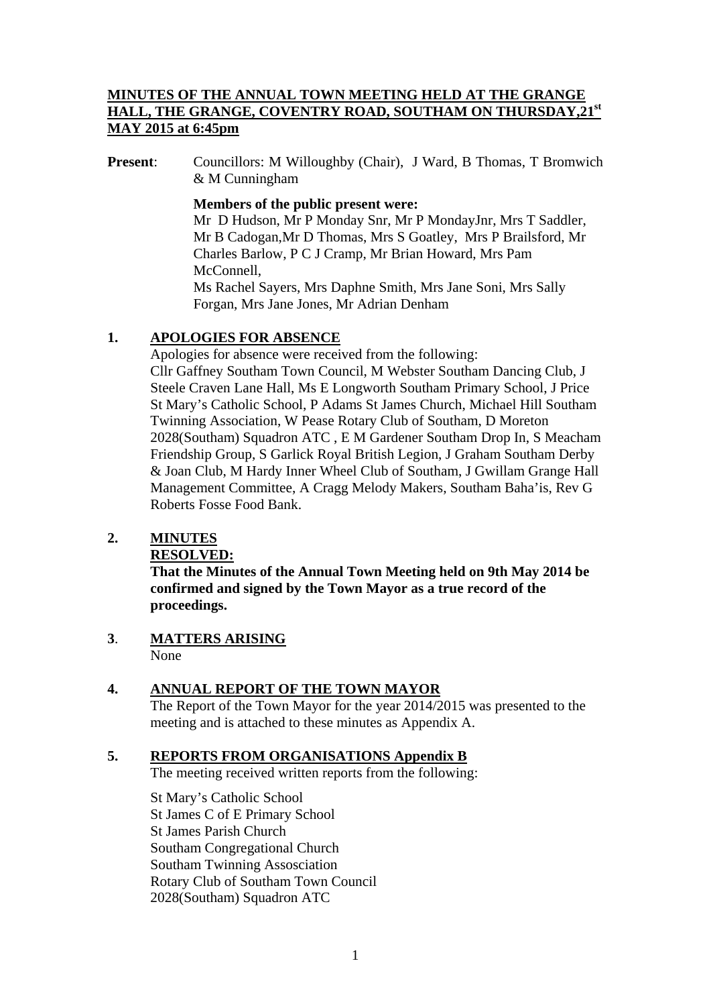## **MINUTES OF THE ANNUAL TOWN MEETING HELD AT THE GRANGE**  HALL, THE GRANGE, COVENTRY ROAD, SOUTHAM ON THURSDAY, 21<sup>st</sup> **MAY 2015 at 6:45pm**

**Present:** Councillors: M Willoughby (Chair), J Ward, B Thomas, T Bromwich & M Cunningham

#### **Members of the public present were:**

Mr D Hudson, Mr P Monday Snr, Mr P MondayJnr, Mrs T Saddler, Mr B Cadogan,Mr D Thomas, Mrs S Goatley, Mrs P Brailsford, Mr Charles Barlow, P C J Cramp, Mr Brian Howard, Mrs Pam McConnell.

Ms Rachel Sayers, Mrs Daphne Smith, Mrs Jane Soni, Mrs Sally Forgan, Mrs Jane Jones, Mr Adrian Denham

#### **1. APOLOGIES FOR ABSENCE**

Apologies for absence were received from the following: Cllr Gaffney Southam Town Council, M Webster Southam Dancing Club, J Steele Craven Lane Hall, Ms E Longworth Southam Primary School, J Price St Mary's Catholic School, P Adams St James Church, Michael Hill Southam Twinning Association, W Pease Rotary Club of Southam, D Moreton 2028(Southam) Squadron ATC , E M Gardener Southam Drop In, S Meacham Friendship Group, S Garlick Royal British Legion, J Graham Southam Derby & Joan Club, M Hardy Inner Wheel Club of Southam, J Gwillam Grange Hall Management Committee, A Cragg Melody Makers, Southam Baha'is, Rev G Roberts Fosse Food Bank.

# **2. MINUTES**

### **RESOLVED:**

**That the Minutes of the Annual Town Meeting held on 9th May 2014 be confirmed and signed by the Town Mayor as a true record of the proceedings.** 

**3**. **MATTERS ARISING** None

#### **4. ANNUAL REPORT OF THE TOWN MAYOR**

 The Report of the Town Mayor for the year 2014/2015 was presented to the meeting and is attached to these minutes as Appendix A.

#### **5. REPORTS FROM ORGANISATIONS Appendix B**

The meeting received written reports from the following:

St Mary's Catholic School St James C of E Primary School St James Parish Church Southam Congregational Church Southam Twinning Assosciation Rotary Club of Southam Town Council 2028(Southam) Squadron ATC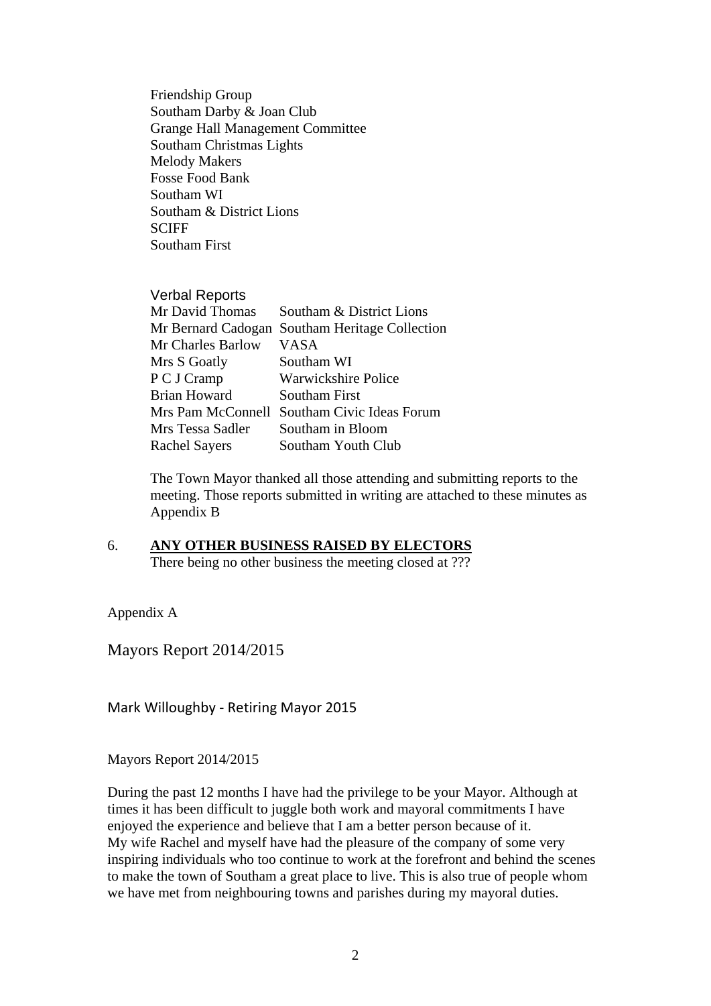Friendship Group Southam Darby & Joan Club Grange Hall Management Committee Southam Christmas Lights Melody Makers Fosse Food Bank Southam WI Southam & District Lions **SCIFF** Southam First

#### Verbal Reports

| Mr David Thomas      | Southam & District Lions                       |
|----------------------|------------------------------------------------|
|                      | Mr Bernard Cadogan Southam Heritage Collection |
| Mr Charles Barlow    | <b>VASA</b>                                    |
| Mrs S Goatly         | Southam WI                                     |
| P C J Cramp          | <b>Warwickshire Police</b>                     |
| <b>Brian Howard</b>  | <b>Southam First</b>                           |
| Mrs Pam McConnell    | Southam Civic Ideas Forum                      |
| Mrs Tessa Sadler     | Southam in Bloom                               |
| <b>Rachel Sayers</b> | Southam Youth Club                             |

The Town Mayor thanked all those attending and submitting reports to the meeting. Those reports submitted in writing are attached to these minutes as Appendix B

6. **ANY OTHER BUSINESS RAISED BY ELECTORS** There being no other business the meeting closed at ???

Appendix A

Mayors Report 2014/2015

Mark Willoughby ‐ Retiring Mayor 2015

Mayors Report 2014/2015

During the past 12 months I have had the privilege to be your Mayor. Although at times it has been difficult to juggle both work and mayoral commitments I have enjoyed the experience and believe that I am a better person because of it. My wife Rachel and myself have had the pleasure of the company of some very inspiring individuals who too continue to work at the forefront and behind the scenes to make the town of Southam a great place to live. This is also true of people whom we have met from neighbouring towns and parishes during my mayoral duties.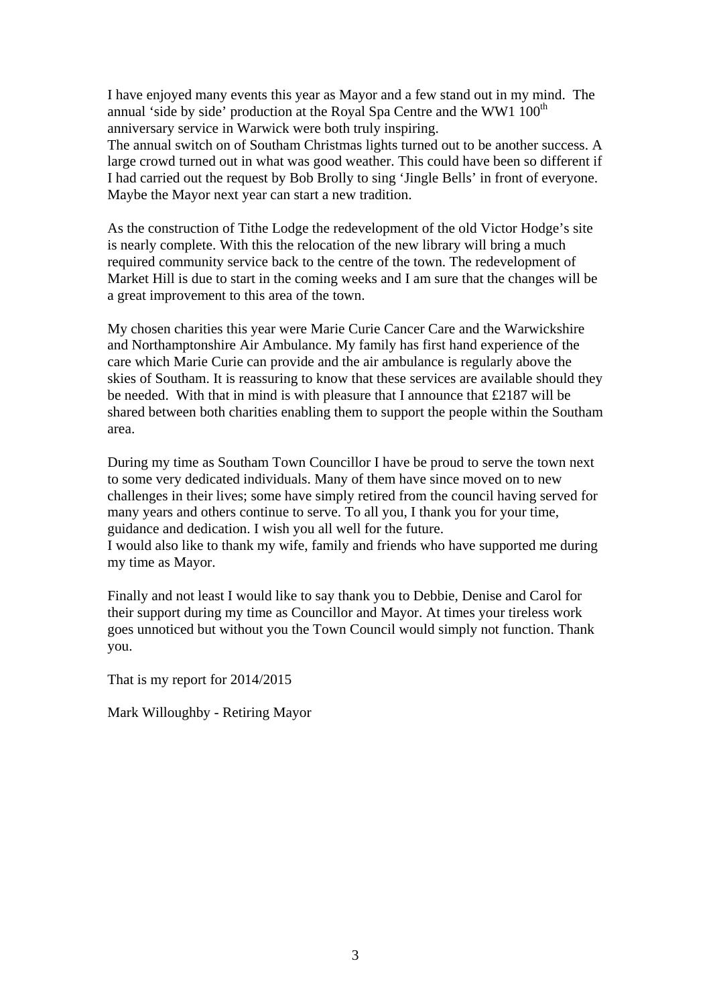I have enjoyed many events this year as Mayor and a few stand out in my mind. The annual 'side by side' production at the Royal Spa Centre and the WW1 100<sup>th</sup> anniversary service in Warwick were both truly inspiring.

The annual switch on of Southam Christmas lights turned out to be another success. A large crowd turned out in what was good weather. This could have been so different if I had carried out the request by Bob Brolly to sing 'Jingle Bells' in front of everyone. Maybe the Mayor next year can start a new tradition.

As the construction of Tithe Lodge the redevelopment of the old Victor Hodge's site is nearly complete. With this the relocation of the new library will bring a much required community service back to the centre of the town. The redevelopment of Market Hill is due to start in the coming weeks and I am sure that the changes will be a great improvement to this area of the town.

My chosen charities this year were Marie Curie Cancer Care and the Warwickshire and Northamptonshire Air Ambulance. My family has first hand experience of the care which Marie Curie can provide and the air ambulance is regularly above the skies of Southam. It is reassuring to know that these services are available should they be needed. With that in mind is with pleasure that I announce that £2187 will be shared between both charities enabling them to support the people within the Southam area.

During my time as Southam Town Councillor I have be proud to serve the town next to some very dedicated individuals. Many of them have since moved on to new challenges in their lives; some have simply retired from the council having served for many years and others continue to serve. To all you, I thank you for your time, guidance and dedication. I wish you all well for the future.

I would also like to thank my wife, family and friends who have supported me during my time as Mayor.

Finally and not least I would like to say thank you to Debbie, Denise and Carol for their support during my time as Councillor and Mayor. At times your tireless work goes unnoticed but without you the Town Council would simply not function. Thank you.

That is my report for 2014/2015

Mark Willoughby - Retiring Mayor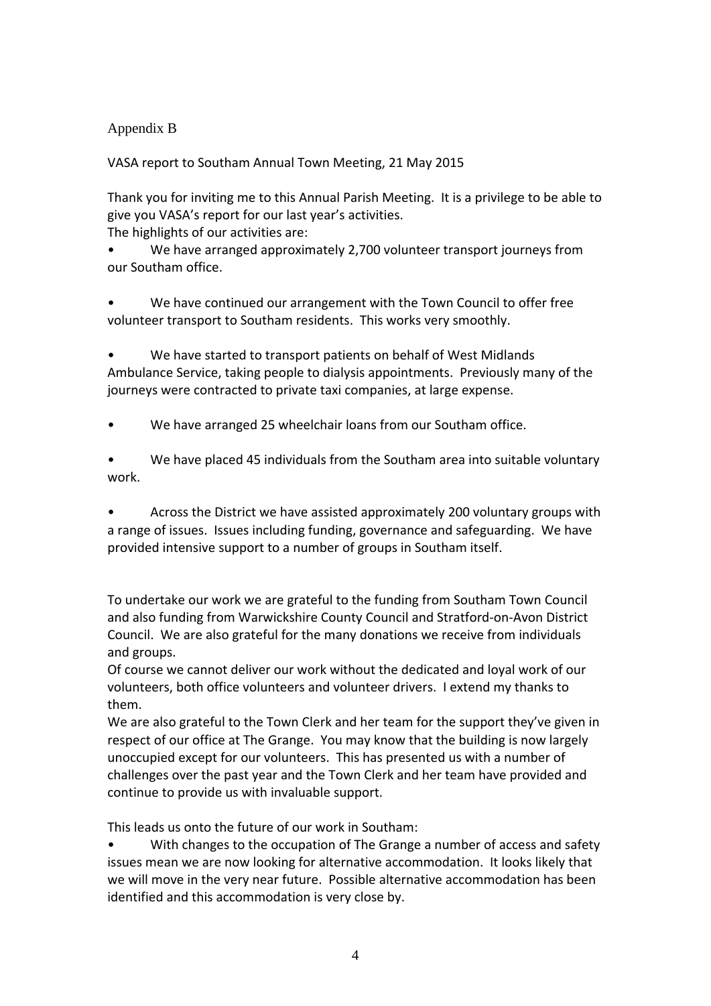## Appendix B

VASA report to Southam Annual Town Meeting, 21 May 2015

Thank you for inviting me to this Annual Parish Meeting. It is a privilege to be able to give you VASA's report for our last year's activities.

The highlights of our activities are:

We have arranged approximately 2,700 volunteer transport journeys from our Southam office.

• We have continued our arrangement with the Town Council to offer free volunteer transport to Southam residents. This works very smoothly.

• We have started to transport patients on behalf of West Midlands Ambulance Service, taking people to dialysis appointments. Previously many of the journeys were contracted to private taxi companies, at large expense.

We have arranged 25 wheelchair loans from our Southam office.

• We have placed 45 individuals from the Southam area into suitable voluntary work.

• Across the District we have assisted approximately 200 voluntary groups with a range of issues. Issues including funding, governance and safeguarding. We have provided intensive support to a number of groups in Southam itself.

To undertake our work we are grateful to the funding from Southam Town Council and also funding from Warwickshire County Council and Stratford‐on‐Avon District Council. We are also grateful for the many donations we receive from individuals and groups.

Of course we cannot deliver our work without the dedicated and loyal work of our volunteers, both office volunteers and volunteer drivers. I extend my thanks to them.

We are also grateful to the Town Clerk and her team for the support they've given in respect of our office at The Grange. You may know that the building is now largely unoccupied except for our volunteers. This has presented us with a number of challenges over the past year and the Town Clerk and her team have provided and continue to provide us with invaluable support.

This leads us onto the future of our work in Southam:

• With changes to the occupation of The Grange a number of access and safety issues mean we are now looking for alternative accommodation. It looks likely that we will move in the very near future. Possible alternative accommodation has been identified and this accommodation is very close by.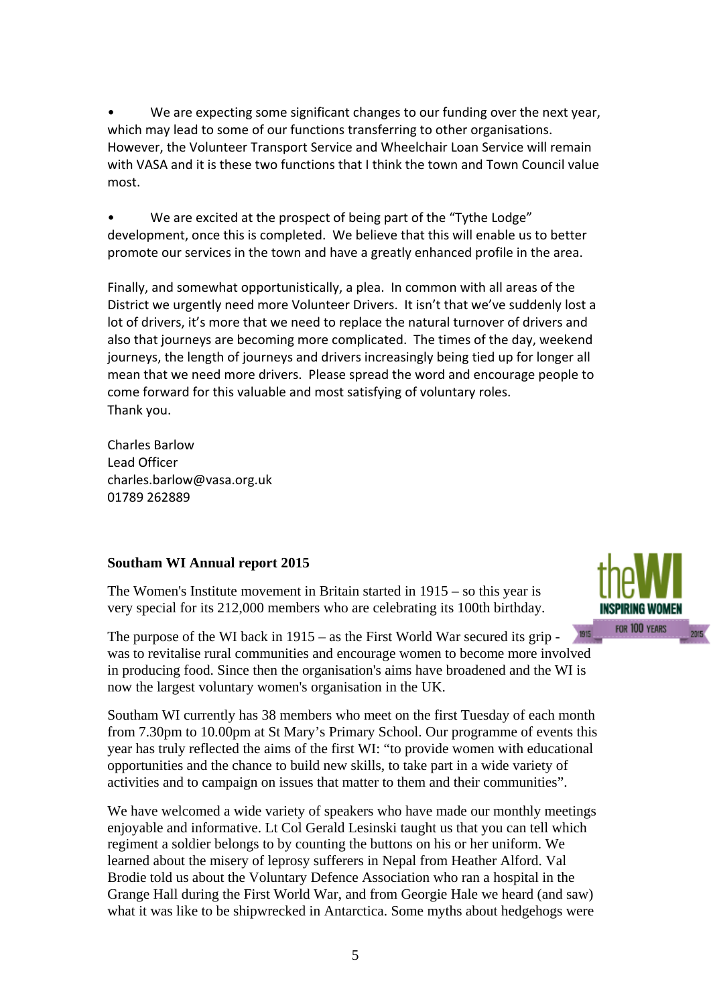We are expecting some significant changes to our funding over the next year, which may lead to some of our functions transferring to other organisations. However, the Volunteer Transport Service and Wheelchair Loan Service will remain with VASA and it is these two functions that I think the town and Town Council value most.

We are excited at the prospect of being part of the "Tythe Lodge" development, once this is completed. We believe that this will enable us to better promote our services in the town and have a greatly enhanced profile in the area.

Finally, and somewhat opportunistically, a plea. In common with all areas of the District we urgently need more Volunteer Drivers. It isn't that we've suddenly lost a lot of drivers, it's more that we need to replace the natural turnover of drivers and also that journeys are becoming more complicated. The times of the day, weekend journeys, the length of journeys and drivers increasingly being tied up for longer all mean that we need more drivers. Please spread the word and encourage people to come forward for this valuable and most satisfying of voluntary roles. Thank you.

Charles Barlow Lead Officer charles.barlow@vasa.org.uk 01789 262889

#### **Southam WI Annual report 2015**

The Women's Institute movement in Britain started in 1915 – so this year is very special for its 212,000 members who are celebrating its 100th birthday.

1915 The purpose of the WI back in 1915 – as the First World War secured its grip was to revitalise rural communities and encourage women to become more involved in producing food. Since then the organisation's aims have broadened and the WI is now the largest voluntary women's organisation in the UK.

Southam WI currently has 38 members who meet on the first Tuesday of each month from 7.30pm to 10.00pm at St Mary's Primary School. Our programme of events this year has truly reflected the aims of the first WI: "to provide women with educational opportunities and the chance to build new skills, to take part in a wide variety of activities and to campaign on issues that matter to them and their communities".

We have welcomed a wide variety of speakers who have made our monthly meetings enjoyable and informative. Lt Col Gerald Lesinski taught us that you can tell which regiment a soldier belongs to by counting the buttons on his or her uniform. We learned about the misery of leprosy sufferers in Nepal from Heather Alford. Val Brodie told us about the Voluntary Defence Association who ran a hospital in the Grange Hall during the First World War, and from Georgie Hale we heard (and saw) what it was like to be shipwrecked in Antarctica. Some myths about hedgehogs were

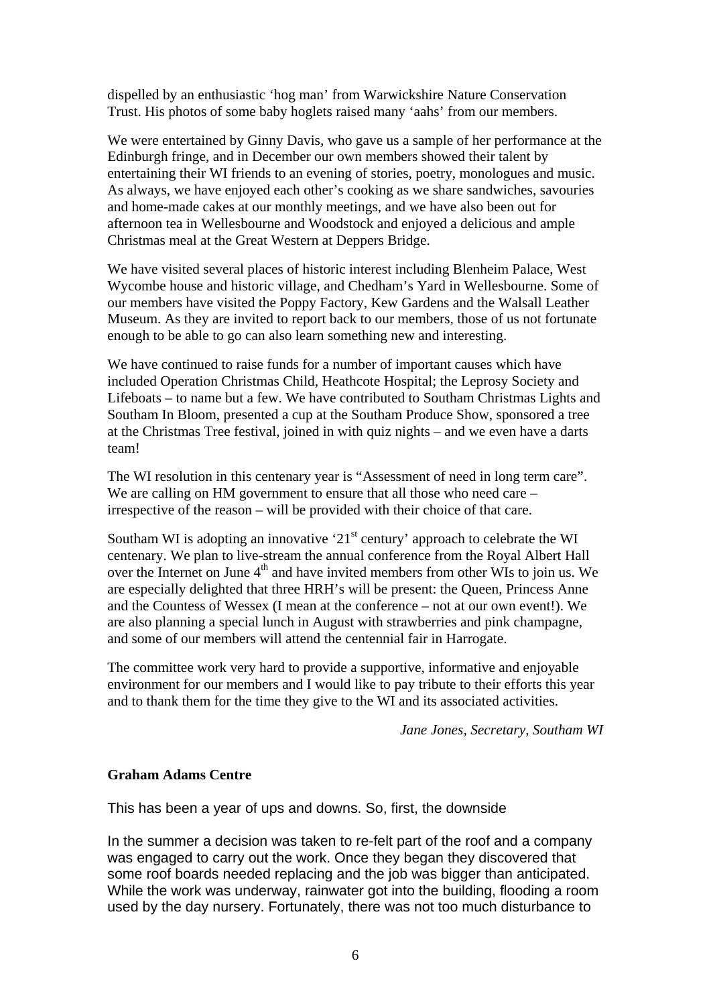dispelled by an enthusiastic 'hog man' from Warwickshire Nature Conservation Trust. His photos of some baby hoglets raised many 'aahs' from our members.

We were entertained by Ginny Davis, who gave us a sample of her performance at the Edinburgh fringe, and in December our own members showed their talent by entertaining their WI friends to an evening of stories, poetry, monologues and music. As always, we have enjoyed each other's cooking as we share sandwiches, savouries and home-made cakes at our monthly meetings, and we have also been out for afternoon tea in Wellesbourne and Woodstock and enjoyed a delicious and ample Christmas meal at the Great Western at Deppers Bridge.

We have visited several places of historic interest including Blenheim Palace, West Wycombe house and historic village, and Chedham's Yard in Wellesbourne. Some of our members have visited the Poppy Factory, Kew Gardens and the Walsall Leather Museum. As they are invited to report back to our members, those of us not fortunate enough to be able to go can also learn something new and interesting.

We have continued to raise funds for a number of important causes which have included Operation Christmas Child, Heathcote Hospital; the Leprosy Society and Lifeboats – to name but a few. We have contributed to Southam Christmas Lights and Southam In Bloom, presented a cup at the Southam Produce Show, sponsored a tree at the Christmas Tree festival, joined in with quiz nights – and we even have a darts team!

The WI resolution in this centenary year is "Assessment of need in long term care". We are calling on HM government to ensure that all those who need care – irrespective of the reason – will be provided with their choice of that care.

Southam WI is adopting an innovative ' $21<sup>st</sup>$  century' approach to celebrate the WI centenary. We plan to live-stream the annual conference from the Royal Albert Hall over the Internet on June  $4<sup>th</sup>$  and have invited members from other WIs to join us. We are especially delighted that three HRH's will be present: the Queen, Princess Anne and the Countess of Wessex (I mean at the conference – not at our own event!). We are also planning a special lunch in August with strawberries and pink champagne, and some of our members will attend the centennial fair in Harrogate.

The committee work very hard to provide a supportive, informative and enjoyable environment for our members and I would like to pay tribute to their efforts this year and to thank them for the time they give to the WI and its associated activities.

*Jane Jones, Secretary, Southam WI*

#### **Graham Adams Centre**

This has been a year of ups and downs. So, first, the downside

In the summer a decision was taken to re-felt part of the roof and a company was engaged to carry out the work. Once they began they discovered that some roof boards needed replacing and the job was bigger than anticipated. While the work was underway, rainwater got into the building, flooding a room used by the day nursery. Fortunately, there was not too much disturbance to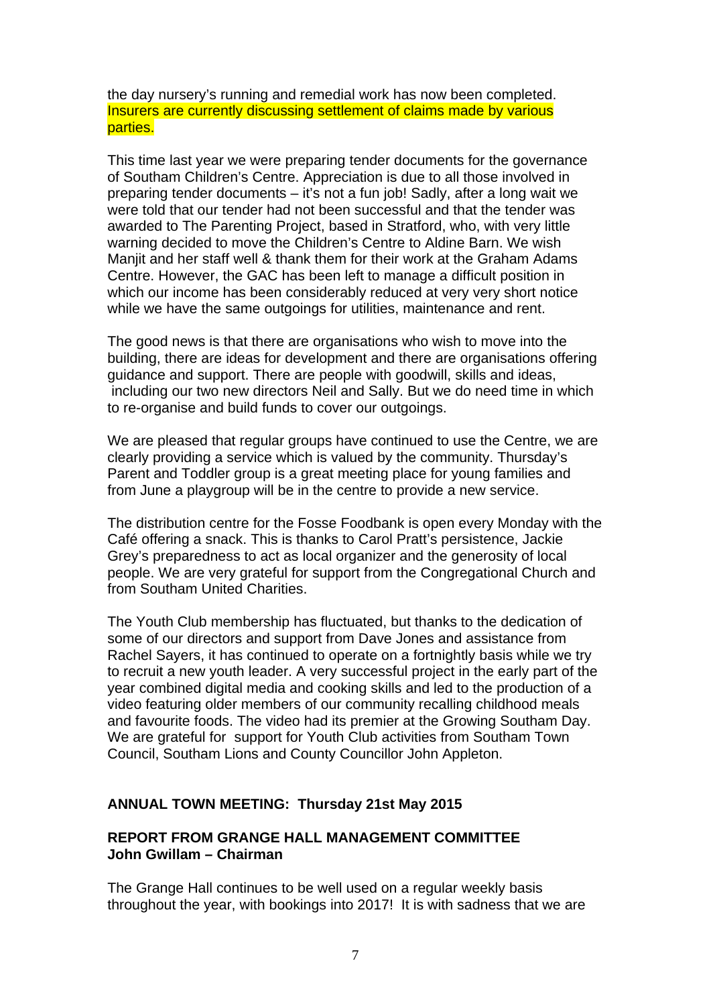the day nursery's running and remedial work has now been completed. Insurers are currently discussing settlement of claims made by various parties.

This time last year we were preparing tender documents for the governance of Southam Children's Centre. Appreciation is due to all those involved in preparing tender documents – it's not a fun job! Sadly, after a long wait we were told that our tender had not been successful and that the tender was awarded to The Parenting Project, based in Stratford, who, with very little warning decided to move the Children's Centre to Aldine Barn. We wish Manjit and her staff well & thank them for their work at the Graham Adams Centre. However, the GAC has been left to manage a difficult position in which our income has been considerably reduced at very very short notice while we have the same outgoings for utilities, maintenance and rent.

The good news is that there are organisations who wish to move into the building, there are ideas for development and there are organisations offering guidance and support. There are people with goodwill, skills and ideas, including our two new directors Neil and Sally. But we do need time in which to re-organise and build funds to cover our outgoings.

We are pleased that regular groups have continued to use the Centre, we are clearly providing a service which is valued by the community. Thursday's Parent and Toddler group is a great meeting place for young families and from June a playgroup will be in the centre to provide a new service.

The distribution centre for the Fosse Foodbank is open every Monday with the Café offering a snack. This is thanks to Carol Pratt's persistence, Jackie Grey's preparedness to act as local organizer and the generosity of local people. We are very grateful for support from the Congregational Church and from Southam United Charities.

The Youth Club membership has fluctuated, but thanks to the dedication of some of our directors and support from Dave Jones and assistance from Rachel Sayers, it has continued to operate on a fortnightly basis while we try to recruit a new youth leader. A very successful project in the early part of the year combined digital media and cooking skills and led to the production of a video featuring older members of our community recalling childhood meals and favourite foods. The video had its premier at the Growing Southam Day. We are grateful for support for Youth Club activities from Southam Town Council, Southam Lions and County Councillor John Appleton.

#### **ANNUAL TOWN MEETING: Thursday 21st May 2015**

#### **REPORT FROM GRANGE HALL MANAGEMENT COMMITTEE John Gwillam – Chairman**

The Grange Hall continues to be well used on a regular weekly basis throughout the year, with bookings into 2017! It is with sadness that we are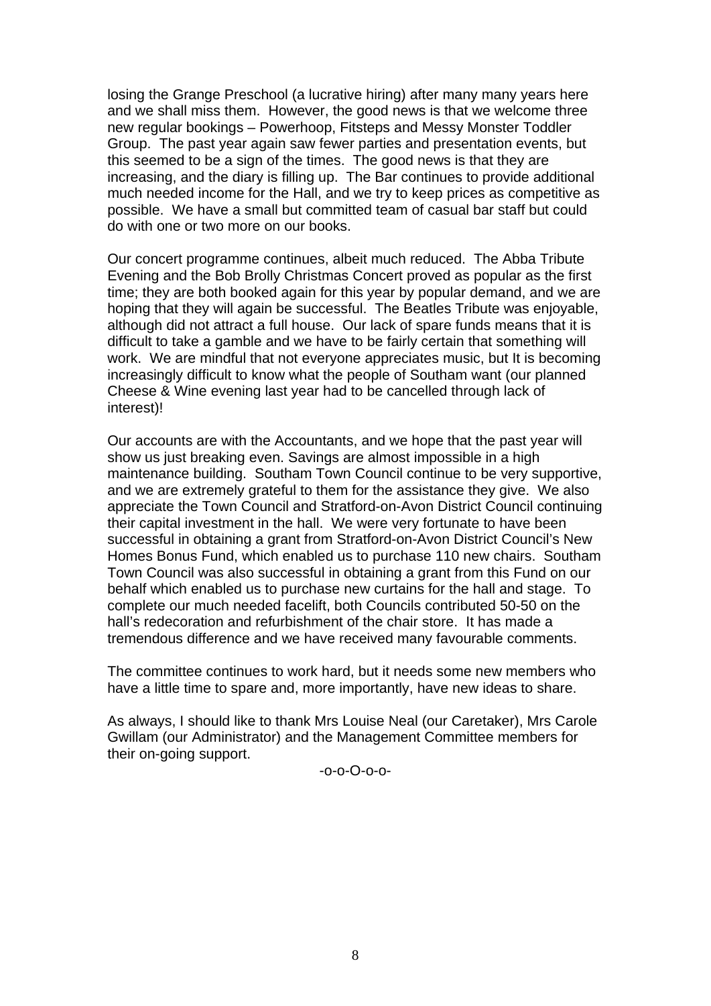losing the Grange Preschool (a lucrative hiring) after many many years here and we shall miss them. However, the good news is that we welcome three new regular bookings – Powerhoop, Fitsteps and Messy Monster Toddler Group. The past year again saw fewer parties and presentation events, but this seemed to be a sign of the times. The good news is that they are increasing, and the diary is filling up. The Bar continues to provide additional much needed income for the Hall, and we try to keep prices as competitive as possible. We have a small but committed team of casual bar staff but could do with one or two more on our books.

Our concert programme continues, albeit much reduced. The Abba Tribute Evening and the Bob Brolly Christmas Concert proved as popular as the first time; they are both booked again for this year by popular demand, and we are hoping that they will again be successful. The Beatles Tribute was enjoyable, although did not attract a full house. Our lack of spare funds means that it is difficult to take a gamble and we have to be fairly certain that something will work. We are mindful that not everyone appreciates music, but It is becoming increasingly difficult to know what the people of Southam want (our planned Cheese & Wine evening last year had to be cancelled through lack of interest)!

Our accounts are with the Accountants, and we hope that the past year will show us just breaking even. Savings are almost impossible in a high maintenance building. Southam Town Council continue to be very supportive, and we are extremely grateful to them for the assistance they give. We also appreciate the Town Council and Stratford-on-Avon District Council continuing their capital investment in the hall. We were very fortunate to have been successful in obtaining a grant from Stratford-on-Avon District Council's New Homes Bonus Fund, which enabled us to purchase 110 new chairs. Southam Town Council was also successful in obtaining a grant from this Fund on our behalf which enabled us to purchase new curtains for the hall and stage. To complete our much needed facelift, both Councils contributed 50-50 on the hall's redecoration and refurbishment of the chair store. It has made a tremendous difference and we have received many favourable comments.

The committee continues to work hard, but it needs some new members who have a little time to spare and, more importantly, have new ideas to share.

As always, I should like to thank Mrs Louise Neal (our Caretaker), Mrs Carole Gwillam (our Administrator) and the Management Committee members for their on-going support.

-o-o-O-o-o-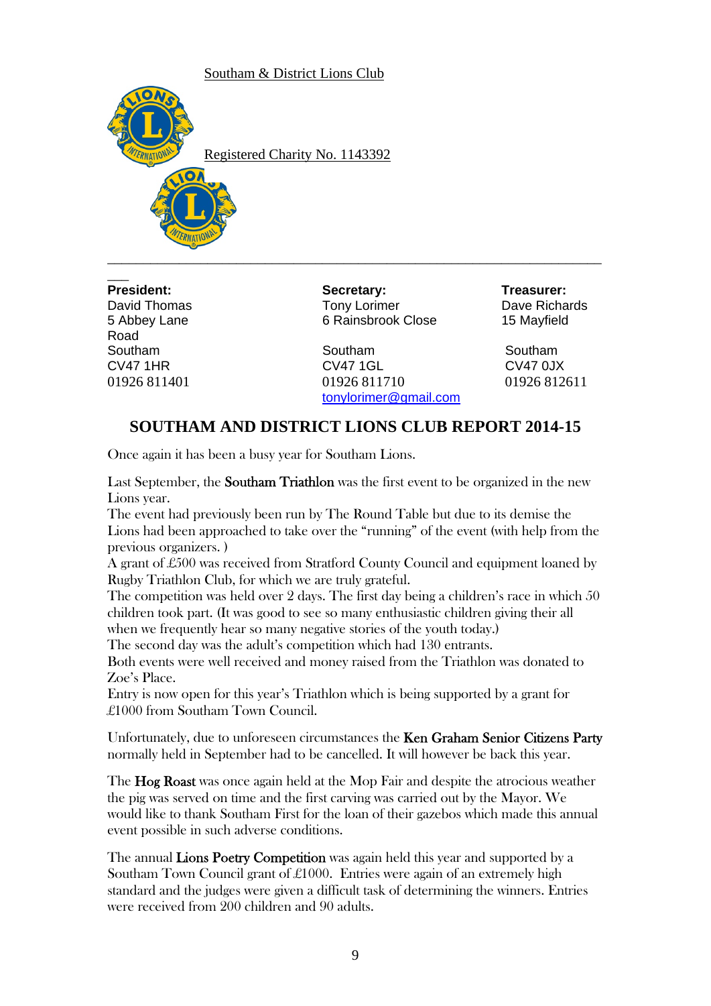Southam & District Lions Club



Registered Charity No. 1143392

 $\overline{\phantom{a}}$ Road

**President: Secretary: Treasurer:** David Thomas Tony Lorimer David Thomas David Thomas David Thomas David Thomas David Thomas David Thomas David T 5 Abbey Lane 6 Rainsbrook Close 15 Mayfield

\_\_\_\_\_\_\_\_\_\_\_\_\_\_\_\_\_\_\_\_\_\_\_\_\_\_\_\_\_\_\_\_\_\_\_\_\_\_\_\_\_\_\_\_\_\_\_\_\_\_\_\_\_\_\_\_\_\_\_\_\_\_\_\_\_\_\_\_\_

Southam Southam Southam CV47 1HR CV47 1GL CV47 0JX 01926 811401 01926 811710 01926 812611 tonylorimer@gmail.com

# **SOUTHAM AND DISTRICT LIONS CLUB REPORT 2014-15**

Once again it has been a busy year for Southam Lions.

Last September, the **Southam Triathlon** was the first event to be organized in the new Lions year.

The event had previously been run by The Round Table but due to its demise the Lions had been approached to take over the "running" of the event (with help from the previous organizers. )

A grant of £500 was received from Stratford County Council and equipment loaned by Rugby Triathlon Club, for which we are truly grateful.

The competition was held over 2 days. The first day being a children's race in which 50 children took part. (It was good to see so many enthusiastic children giving their all when we frequently hear so many negative stories of the youth today.) The second day was the adult's competition which had 130 entrants.

Both events were well received and money raised from the Triathlon was donated to Zoe's Place.

Entry is now open for this year's Triathlon which is being supported by a grant for £1000 from Southam Town Council.

Unfortunately, due to unforeseen circumstances the Ken Graham Senior Citizens Party normally held in September had to be cancelled. It will however be back this year.

The **Hog Roast** was once again held at the Mop Fair and despite the atrocious weather the pig was served on time and the first carving was carried out by the Mayor. We would like to thank Southam First for the loan of their gazebos which made this annual event possible in such adverse conditions.

The annual Lions Poetry Competition was again held this year and supported by a Southam Town Council grant of  $\pounds1000$ . Entries were again of an extremely high standard and the judges were given a difficult task of determining the winners. Entries were received from 200 children and 90 adults.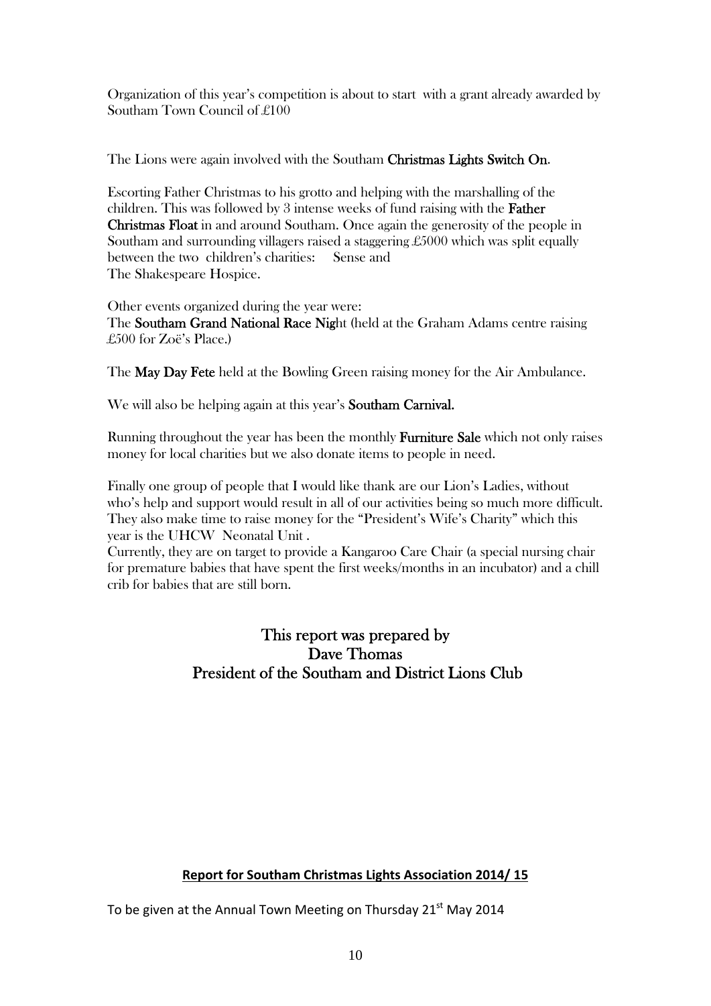Organization of this year's competition is about to start with a grant already awarded by Southam Town Council of £100

The Lions were again involved with the Southam Christmas Lights Switch On.

Escorting Father Christmas to his grotto and helping with the marshalling of the children. This was followed by 3 intense weeks of fund raising with the Father Christmas Float in and around Southam. Once again the generosity of the people in Southam and surrounding villagers raised a staggering £5000 which was split equally between the two children's charities: Sense and The Shakespeare Hospice.

Other events organized during the year were: The Southam Grand National Race Night (held at the Graham Adams centre raising £500 for Zoë's Place.)

The **May Day Fete** held at the Bowling Green raising money for the Air Ambulance.

We will also be helping again at this year's **Southam Carnival.** 

Running throughout the year has been the monthly Furniture Sale which not only raises money for local charities but we also donate items to people in need.

Finally one group of people that I would like thank are our Lion's Ladies, without who's help and support would result in all of our activities being so much more difficult. They also make time to raise money for the "President's Wife's Charity" which this year is the UHCW Neonatal Unit .

Currently, they are on target to provide a Kangaroo Care Chair (a special nursing chair for premature babies that have spent the first weeks/months in an incubator) and a chill crib for babies that are still born.

> This report was prepared by Dave Thomas President of the Southam and District Lions Club

#### **Report for Southam Christmas Lights Association 2014/ 15**

To be given at the Annual Town Meeting on Thursday  $21<sup>st</sup>$  May 2014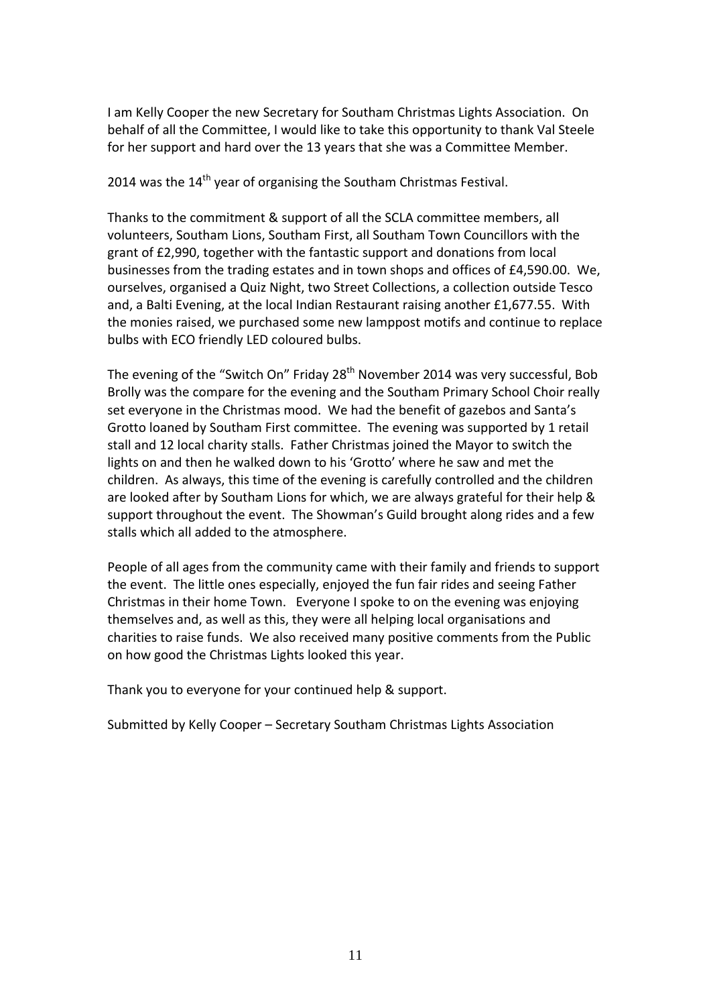I am Kelly Cooper the new Secretary for Southam Christmas Lights Association. On behalf of all the Committee, I would like to take this opportunity to thank Val Steele for her support and hard over the 13 years that she was a Committee Member.

2014 was the 14<sup>th</sup> year of organising the Southam Christmas Festival.

Thanks to the commitment & support of all the SCLA committee members, all volunteers, Southam Lions, Southam First, all Southam Town Councillors with the grant of £2,990, together with the fantastic support and donations from local businesses from the trading estates and in town shops and offices of £4,590.00. We, ourselves, organised a Quiz Night, two Street Collections, a collection outside Tesco and, a Balti Evening, at the local Indian Restaurant raising another £1,677.55. With the monies raised, we purchased some new lamppost motifs and continue to replace bulbs with ECO friendly LED coloured bulbs.

The evening of the "Switch On" Friday 28<sup>th</sup> November 2014 was very successful, Bob Brolly was the compare for the evening and the Southam Primary School Choir really set everyone in the Christmas mood. We had the benefit of gazebos and Santa's Grotto loaned by Southam First committee. The evening was supported by 1 retail stall and 12 local charity stalls. Father Christmas joined the Mayor to switch the lights on and then he walked down to his 'Grotto' where he saw and met the children. As always, this time of the evening is carefully controlled and the children are looked after by Southam Lions for which, we are always grateful for their help & support throughout the event. The Showman's Guild brought along rides and a few stalls which all added to the atmosphere.

People of all ages from the community came with their family and friends to support the event. The little ones especially, enjoyed the fun fair rides and seeing Father Christmas in their home Town. Everyone I spoke to on the evening was enjoying themselves and, as well as this, they were all helping local organisations and charities to raise funds. We also received many positive comments from the Public on how good the Christmas Lights looked this year.

Thank you to everyone for your continued help & support.

Submitted by Kelly Cooper – Secretary Southam Christmas Lights Association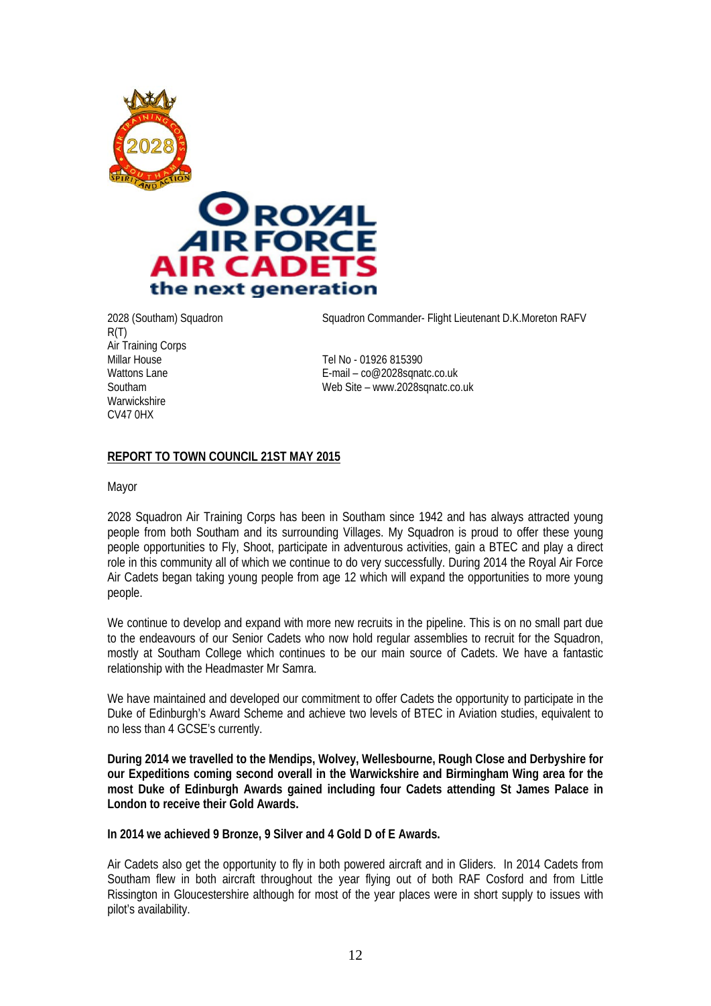



R(T) Air Training Corps<br>Millar House Millar House Tel No - 01926 815390<br>
Wattons Lane Tel No - 01926 815390<br>
F-mail – co@2028sqna **Warwickshire** CV47 0HX

2028 (Southam) Squadron Squadron Commander- Flight Lieutenant D.K.Moreton RAFV

E-mail –  $co@2028$ sqnatc.co.uk Southam Web Site – www.2028sqnatc.co.uk

#### **REPORT TO TOWN COUNCIL 21ST MAY 2015**

Mayor

2028 Squadron Air Training Corps has been in Southam since 1942 and has always attracted young people from both Southam and its surrounding Villages. My Squadron is proud to offer these young people opportunities to Fly, Shoot, participate in adventurous activities, gain a BTEC and play a direct role in this community all of which we continue to do very successfully. During 2014 the Royal Air Force Air Cadets began taking young people from age 12 which will expand the opportunities to more young people.

We continue to develop and expand with more new recruits in the pipeline. This is on no small part due to the endeavours of our Senior Cadets who now hold regular assemblies to recruit for the Squadron, mostly at Southam College which continues to be our main source of Cadets. We have a fantastic relationship with the Headmaster Mr Samra.

We have maintained and developed our commitment to offer Cadets the opportunity to participate in the Duke of Edinburgh's Award Scheme and achieve two levels of BTEC in Aviation studies, equivalent to no less than 4 GCSE's currently.

**During 2014 we travelled to the Mendips, Wolvey, Wellesbourne, Rough Close and Derbyshire for our Expeditions coming second overall in the Warwickshire and Birmingham Wing area for the most Duke of Edinburgh Awards gained including four Cadets attending St James Palace in London to receive their Gold Awards.** 

**In 2014 we achieved 9 Bronze, 9 Silver and 4 Gold D of E Awards.** 

Air Cadets also get the opportunity to fly in both powered aircraft and in Gliders. In 2014 Cadets from Southam flew in both aircraft throughout the year flying out of both RAF Cosford and from Little Rissington in Gloucestershire although for most of the year places were in short supply to issues with pilot's availability.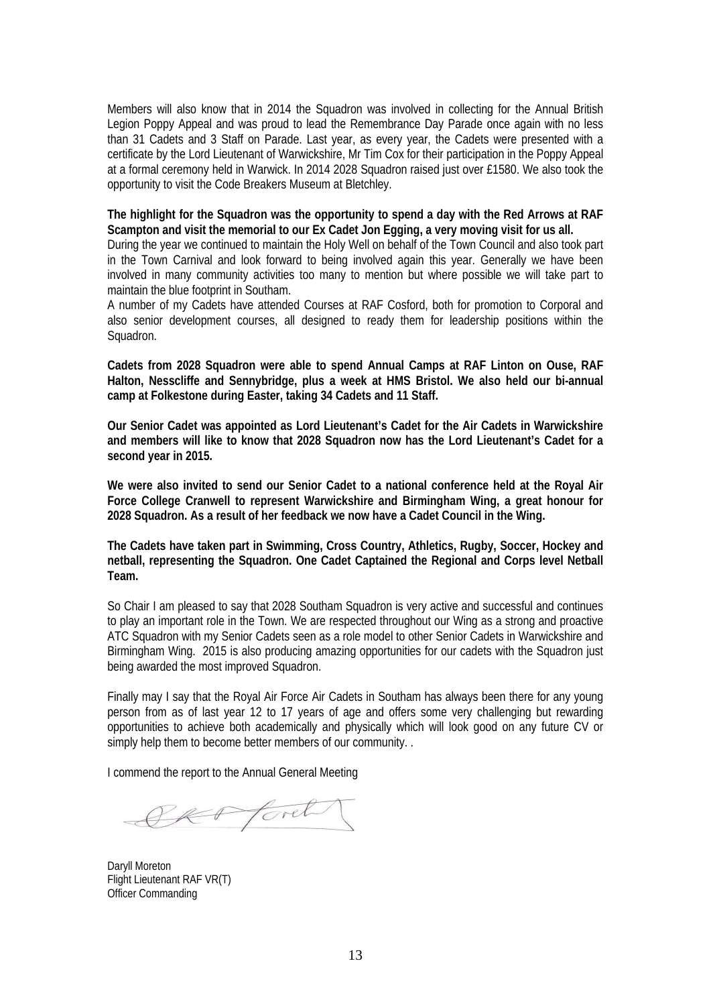Members will also know that in 2014 the Squadron was involved in collecting for the Annual British Legion Poppy Appeal and was proud to lead the Remembrance Day Parade once again with no less than 31 Cadets and 3 Staff on Parade. Last year, as every year, the Cadets were presented with a certificate by the Lord Lieutenant of Warwickshire, Mr Tim Cox for their participation in the Poppy Appeal at a formal ceremony held in Warwick. In 2014 2028 Squadron raised just over £1580. We also took the opportunity to visit the Code Breakers Museum at Bletchley.

#### **The highlight for the Squadron was the opportunity to spend a day with the Red Arrows at RAF Scampton and visit the memorial to our Ex Cadet Jon Egging, a very moving visit for us all.**

During the year we continued to maintain the Holy Well on behalf of the Town Council and also took part in the Town Carnival and look forward to being involved again this year. Generally we have been involved in many community activities too many to mention but where possible we will take part to maintain the blue footprint in Southam.

A number of my Cadets have attended Courses at RAF Cosford, both for promotion to Corporal and also senior development courses, all designed to ready them for leadership positions within the Squadron.

**Cadets from 2028 Squadron were able to spend Annual Camps at RAF Linton on Ouse, RAF Halton, Nesscliffe and Sennybridge, plus a week at HMS Bristol. We also held our bi-annual camp at Folkestone during Easter, taking 34 Cadets and 11 Staff.** 

**Our Senior Cadet was appointed as Lord Lieutenant's Cadet for the Air Cadets in Warwickshire and members will like to know that 2028 Squadron now has the Lord Lieutenant's Cadet for a second year in 2015.** 

**We were also invited to send our Senior Cadet to a national conference held at the Royal Air Force College Cranwell to represent Warwickshire and Birmingham Wing, a great honour for 2028 Squadron. As a result of her feedback we now have a Cadet Council in the Wing.** 

**The Cadets have taken part in Swimming, Cross Country, Athletics, Rugby, Soccer, Hockey and netball, representing the Squadron. One Cadet Captained the Regional and Corps level Netball Team.** 

So Chair I am pleased to say that 2028 Southam Squadron is very active and successful and continues to play an important role in the Town. We are respected throughout our Wing as a strong and proactive ATC Squadron with my Senior Cadets seen as a role model to other Senior Cadets in Warwickshire and Birmingham Wing. 2015 is also producing amazing opportunities for our cadets with the Squadron just being awarded the most improved Squadron.

Finally may I say that the Royal Air Force Air Cadets in Southam has always been there for any young person from as of last year 12 to 17 years of age and offers some very challenging but rewarding opportunities to achieve both academically and physically which will look good on any future CV or simply help them to become better members of our community. .

I commend the report to the Annual General Meeting

SK foret

Daryll Moreton Flight Lieutenant RAF VR(T) Officer Commanding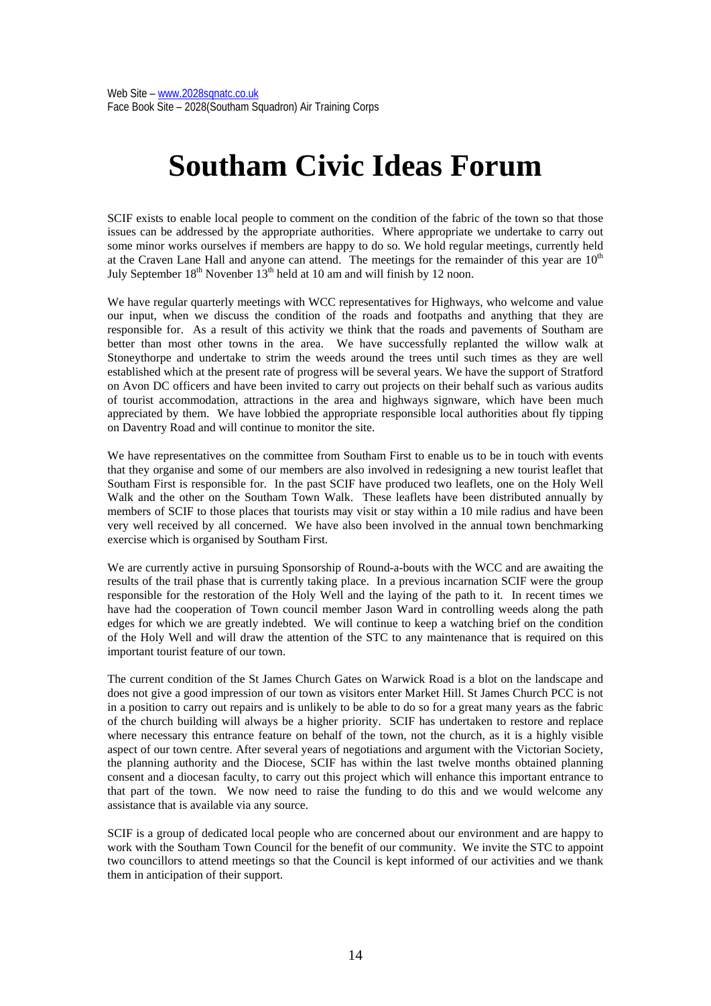# **Southam Civic Ideas Forum**

SCIF exists to enable local people to comment on the condition of the fabric of the town so that those issues can be addressed by the appropriate authorities. Where appropriate we undertake to carry out some minor works ourselves if members are happy to do so. We hold regular meetings, currently held at the Craven Lane Hall and anyone can attend. The meetings for the remainder of this year are  $10<sup>th</sup>$ July September  $18<sup>th</sup>$  Novenber  $13<sup>th</sup>$  held at 10 am and will finish by 12 noon.

We have regular quarterly meetings with WCC representatives for Highways, who welcome and value our input, when we discuss the condition of the roads and footpaths and anything that they are responsible for. As a result of this activity we think that the roads and pavements of Southam are better than most other towns in the area. We have successfully replanted the willow walk at Stoneythorpe and undertake to strim the weeds around the trees until such times as they are well established which at the present rate of progress will be several years. We have the support of Stratford on Avon DC officers and have been invited to carry out projects on their behalf such as various audits of tourist accommodation, attractions in the area and highways signware, which have been much appreciated by them. We have lobbied the appropriate responsible local authorities about fly tipping on Daventry Road and will continue to monitor the site.

We have representatives on the committee from Southam First to enable us to be in touch with events that they organise and some of our members are also involved in redesigning a new tourist leaflet that Southam First is responsible for. In the past SCIF have produced two leaflets, one on the Holy Well Walk and the other on the Southam Town Walk. These leaflets have been distributed annually by members of SCIF to those places that tourists may visit or stay within a 10 mile radius and have been very well received by all concerned. We have also been involved in the annual town benchmarking exercise which is organised by Southam First.

We are currently active in pursuing Sponsorship of Round-a-bouts with the WCC and are awaiting the results of the trail phase that is currently taking place. In a previous incarnation SCIF were the group responsible for the restoration of the Holy Well and the laying of the path to it. In recent times we have had the cooperation of Town council member Jason Ward in controlling weeds along the path edges for which we are greatly indebted. We will continue to keep a watching brief on the condition of the Holy Well and will draw the attention of the STC to any maintenance that is required on this important tourist feature of our town.

The current condition of the St James Church Gates on Warwick Road is a blot on the landscape and does not give a good impression of our town as visitors enter Market Hill. St James Church PCC is not in a position to carry out repairs and is unlikely to be able to do so for a great many years as the fabric of the church building will always be a higher priority. SCIF has undertaken to restore and replace where necessary this entrance feature on behalf of the town, not the church, as it is a highly visible aspect of our town centre. After several years of negotiations and argument with the Victorian Society, the planning authority and the Diocese, SCIF has within the last twelve months obtained planning consent and a diocesan faculty, to carry out this project which will enhance this important entrance to that part of the town. We now need to raise the funding to do this and we would welcome any assistance that is available via any source.

SCIF is a group of dedicated local people who are concerned about our environment and are happy to work with the Southam Town Council for the benefit of our community. We invite the STC to appoint two councillors to attend meetings so that the Council is kept informed of our activities and we thank them in anticipation of their support.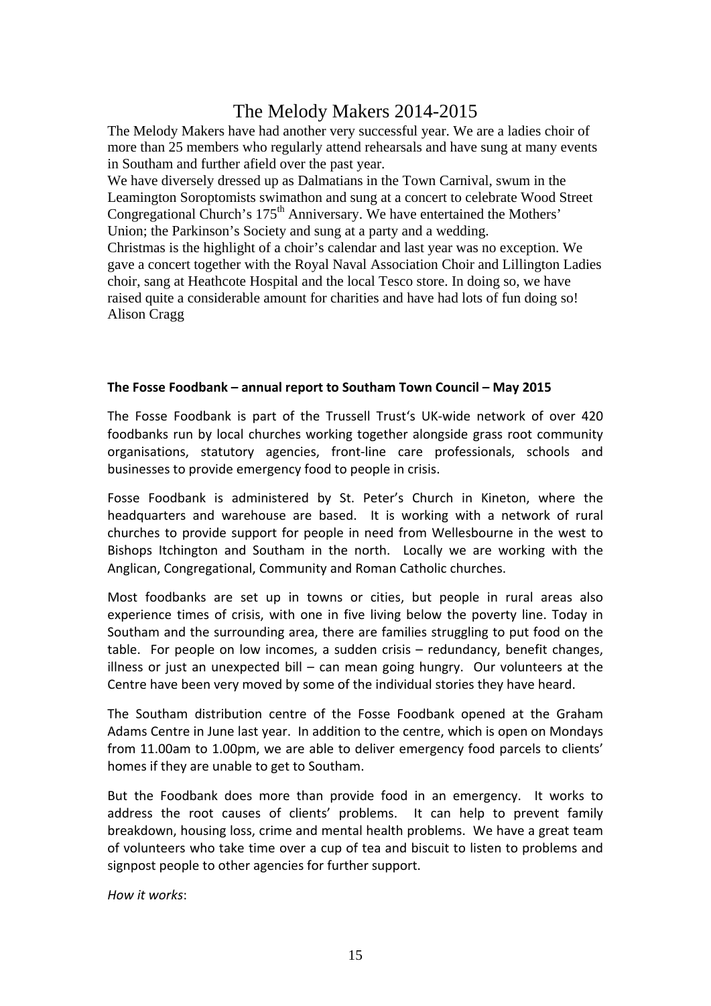# The Melody Makers 2014-2015

The Melody Makers have had another very successful year. We are a ladies choir of more than 25 members who regularly attend rehearsals and have sung at many events in Southam and further afield over the past year.

We have diversely dressed up as Dalmatians in the Town Carnival, swum in the Leamington Soroptomists swimathon and sung at a concert to celebrate Wood Street Congregational Church's 175<sup>th</sup> Anniversary. We have entertained the Mothers' Union; the Parkinson's Society and sung at a party and a wedding. Christmas is the highlight of a choir's calendar and last year was no exception. We gave a concert together with the Royal Naval Association Choir and Lillington Ladies choir, sang at Heathcote Hospital and the local Tesco store. In doing so, we have raised quite a considerable amount for charities and have had lots of fun doing so! Alison Cragg

#### **The Fosse Foodbank – annual report to Southam Town Council – May 2015**

The Fosse Foodbank is part of the Trussell Trust's UK‐wide network of over 420 foodbanks run by local churches working together alongside grass root community organisations, statutory agencies, front‐line care professionals, schools and businesses to provide emergency food to people in crisis.

Fosse Foodbank is administered by St. Peter's Church in Kineton, where the headquarters and warehouse are based. It is working with a network of rural churches to provide support for people in need from Wellesbourne in the west to Bishops Itchington and Southam in the north. Locally we are working with the Anglican, Congregational, Community and Roman Catholic churches.

Most foodbanks are set up in towns or cities, but people in rural areas also experience times of crisis, with one in five living below the poverty line. Today in Southam and the surrounding area, there are families struggling to put food on the table. For people on low incomes, a sudden crisis – redundancy, benefit changes, illness or just an unexpected bill  $-$  can mean going hungry. Our volunteers at the Centre have been very moved by some of the individual stories they have heard.

The Southam distribution centre of the Fosse Foodbank opened at the Graham Adams Centre in June last year. In addition to the centre, which is open on Mondays from 11.00am to 1.00pm, we are able to deliver emergency food parcels to clients' homes if they are unable to get to Southam.

But the Foodbank does more than provide food in an emergency. It works to address the root causes of clients' problems. It can help to prevent family breakdown, housing loss, crime and mental health problems. We have a great team of volunteers who take time over a cup of tea and biscuit to listen to problems and signpost people to other agencies for further support.

*How it works*: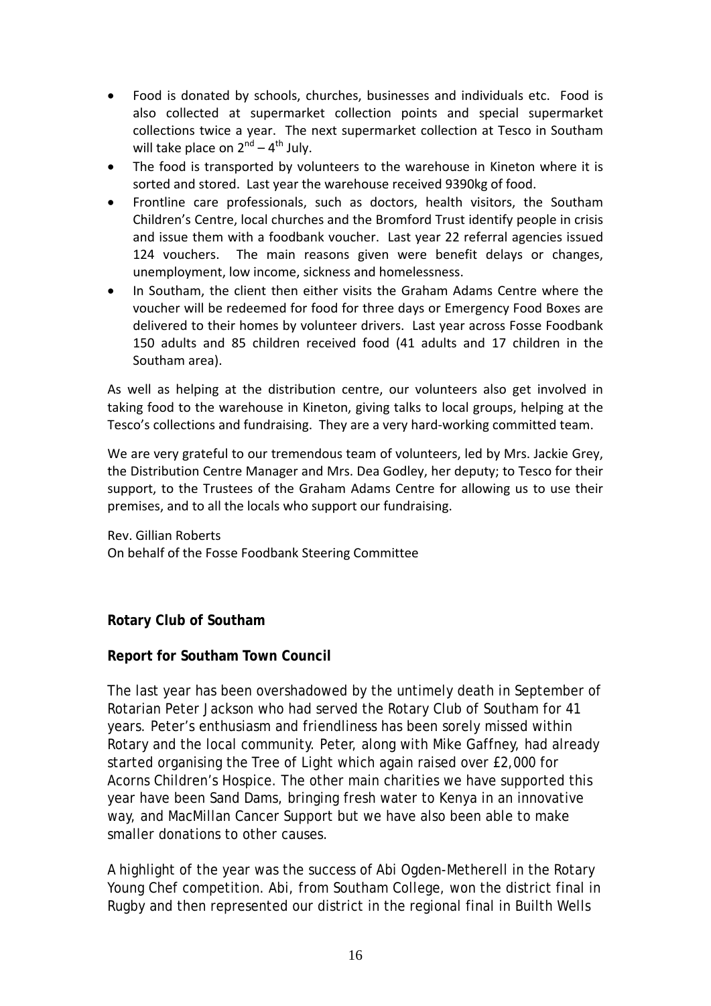- Food is donated by schools, churches, businesses and individuals etc. Food is also collected at supermarket collection points and special supermarket collections twice a year. The next supermarket collection at Tesco in Southam will take place on  $2^{nd} - 4^{th}$  July.
- The food is transported by volunteers to the warehouse in Kineton where it is sorted and stored. Last year the warehouse received 9390kg of food.
- Frontline care professionals, such as doctors, health visitors, the Southam Children's Centre, local churches and the Bromford Trust identify people in crisis and issue them with a foodbank voucher. Last year 22 referral agencies issued 124 vouchers. The main reasons given were benefit delays or changes, unemployment, low income, sickness and homelessness.
- In Southam, the client then either visits the Graham Adams Centre where the voucher will be redeemed for food for three days or Emergency Food Boxes are delivered to their homes by volunteer drivers. Last year across Fosse Foodbank 150 adults and 85 children received food (41 adults and 17 children in the Southam area).

As well as helping at the distribution centre, our volunteers also get involved in taking food to the warehouse in Kineton, giving talks to local groups, helping at the Tesco's collections and fundraising. They are a very hard-working committed team.

We are very grateful to our tremendous team of volunteers, led by Mrs. Jackie Grey, the Distribution Centre Manager and Mrs. Dea Godley, her deputy; to Tesco for their support, to the Trustees of the Graham Adams Centre for allowing us to use their premises, and to all the locals who support our fundraising.

Rev. Gillian Roberts On behalf of the Fosse Foodbank Steering Committee

# **Rotary Club of Southam**

#### **Report for Southam Town Council**

The last year has been overshadowed by the untimely death in September of Rotarian Peter Jackson who had served the Rotary Club of Southam for 41 years. Peter's enthusiasm and friendliness has been sorely missed within Rotary and the local community. Peter, along with Mike Gaffney, had already started organising the Tree of Light which again raised over £2,000 for Acorns Children's Hospice. The other main charities we have supported this year have been Sand Dams, bringing fresh water to Kenya in an innovative way, and MacMillan Cancer Support but we have also been able to make smaller donations to other causes.

A highlight of the year was the success of Abi Ogden-Metherell in the Rotary Young Chef competition. Abi, from Southam College, won the district final in Rugby and then represented our district in the regional final in Builth Wells